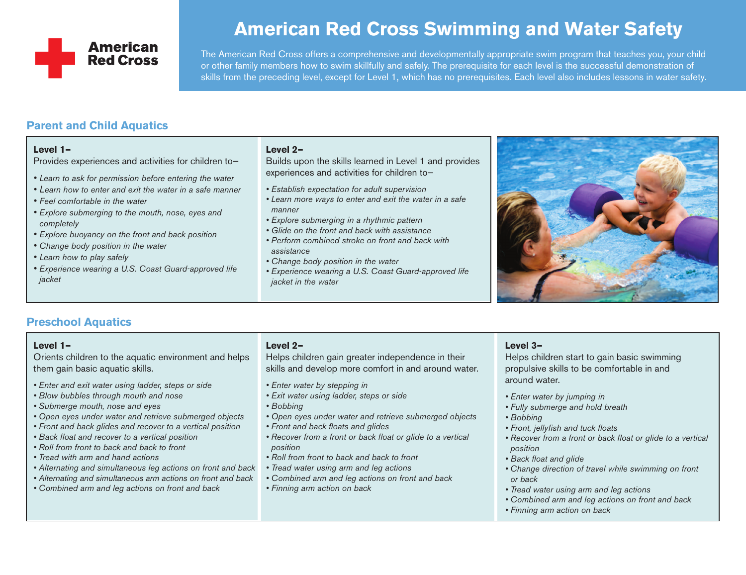

# **American Red Cross Swimming and Water Safety**

The American Red Cross offers a comprehensive and developmentally appropriate swim program that teaches you, your child or other family members how to swim skillfully and safely. The prerequisite for each level is the successful demonstration of skills from the preceding level, except for Level 1, which has no prerequisites. Each level also includes lessons in water safety.

# **Parent and Child Aquatics**

#### **Level 1—**

Provides experiences and activities for children to—

- *• Learn to ask for permission before entering the water*
- *• Learn how to enter and exit the water in a safe manner*
- *• Feel comfortable in the water*
- *• Explore submerging to the mouth, nose, eyes and completely*
- *• Explore buoyancy on the front and back position*
- *• Change body position in the water*
- *• Learn how to play safely*
- *• Experience wearing a U.S. Coast Guard-approved life jacket*

## **Level 2—**

Builds upon the skills learned in Level 1 and provides experiences and activities for children to—

- *• Establish expectation for adult supervision*
- *• Learn more ways to enter and exit the water in a safe manner*
- *• Explore submerging in a rhythmic pattern*
- *• Glide on the front and back with assistance*
- *• Perform combined stroke on front and back with assistance*
- *• Change body position in the water*
- *• Experience wearing a U.S. Coast Guard-approved life jacket in the water*



## **Preschool Aquatics**

## **Level 1—**

Orients children to the aquatic environment and helps them gain basic aquatic skills.

- *• Enter and exit water using ladder, steps or side*
- *• Blow bubbles through mouth and nose*
- *• Submerge mouth, nose and eyes*
- *• Open eyes under water and retrieve submerged objects*
- *• Front and back glides and recover to a vertical position*
- *• Back float and recover to a vertical position*
- *• Roll from front to back and back to front*
- *• Tread with arm and hand actions*
- *• Alternating and simultaneous leg actions on front and back*
- *• Alternating and simultaneous arm actions on front and back*
- *• Combined arm and leg actions on front and back*

## **Level 2—**

Helps children gain greater independence in their skills and develop more comfort in and around water.

- *• Enter water by stepping in*
- *• Exit water using ladder, steps or side*
- *• Bobbing*
- *• Open eyes under water and retrieve submerged objects*
- *• Front and back floats and glides*
- *• Recover from a front or back float or glide to a vertical position*
- *• Roll from front to back and back to front*
- *• Tread water using arm and leg actions*
- *• Combined arm and leg actions on front and back*
- *• Finning arm action on back*

#### **Level 3—**

Helps children start to gain basic swimming propulsive skills to be comfortable in and around water.

- *• Enter water by jumping in*
- *• Fully submerge and hold breath*
- *• Bobbing*
- *• Front, jellyfish and tuck floats*
- *• Recover from a front or back float or glide to a vertical position*
- *• Back float and glide*
- *• Change direction of travel while swimming on front or back*
- *• Tread water using arm and leg actions*
- *• Combined arm and leg actions on front and back*
- *• Finning arm action on back*